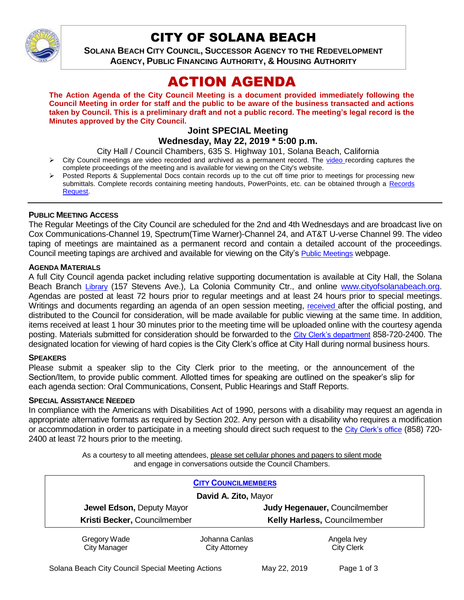

## CITY OF SOLANA BEACH

**SOLANA BEACH CITY COUNCIL, SUCCESSOR AGENCY TO THE REDEVELOPMENT AGENCY, PUBLIC FINANCING AUTHORITY, & HOUSING AUTHORITY** 

# ACTION AGENDA

**The Action Agenda of the City Council Meeting is a document provided immediately following the Council Meeting in order for staff and the public to be aware of the business transacted and actions taken by Council. This is a preliminary draft and not a public record. The meeting's legal record is the Minutes approved by the City Council.**

#### **Joint SPECIAL Meeting Wednesday, May 22, 2019 \* 5:00 p.m.**

City Hall / Council Chambers, 635 S. Highway 101, Solana Beach, California

- $\triangleright$  City Council meetings are [video r](https://solanabeach.12milesout.com/#page=1)ecorded and archived as a permanent record. The video recording captures the complete proceedings of the meeting and is available for viewing on the City's website.
- Posted Reports & Supplemental Docs contain records up to the cut off time prior to meetings for processing new submittals. Complete records containing meeting handouts, PowerPoints, etc. can be obtained through a Records [Request.](http://www.ci.solana-beach.ca.us/index.asp?SEC=F5D45D10-70CE-4291-A27C-7BD633FC6742&Type=B_BASIC)

#### **PUBLIC MEETING ACCESS**

The Regular Meetings of the City Council are scheduled for the 2nd and 4th Wednesdays and are broadcast live on Cox Communications-Channel 19, Spectrum(Time Warner)-Channel 24, and AT&T U-verse Channel 99. The video taping of meetings are maintained as a permanent record and contain a detailed account of the proceedings. Council meeting tapings are archived and available for viewing on the City's [Public Meetings](https://www.ci.solana-beach.ca.us/index.asp?SEC=F0F1200D-21C6-4A88-8AE1-0BC07C1A81A7&Type=B_BASIC) webpage.

#### **AGENDA MATERIALS**

A full City Council agenda packet including relative supporting documentation is available at City Hall, the Solana Beach Branch [Library](http://www.sdcl.org/locations_SB.html) (157 Stevens Ave.), La Colonia Community Ctr., and online [www.cityofsolanabeach.org.](http://www.cityofsolanabeach.org/) Agendas are posted at least 72 hours prior to regular meetings and at least 24 hours prior to special meetings. Writings and documents regarding an agenda of an open session meeting, [received](mailto:EMAILGRP-CityClerksOfc@cosb.org) after the official posting, and distributed to the Council for consideration, will be made available for public viewing at the same time. In addition, items received at least 1 hour 30 minutes prior to the meeting time will be uploaded online with the courtesy agenda posting. Materials submitted for consideration should be forwarded to the [City Clerk's department](mailto:EMAILGRP-CityClerksOfc@cosb.org) 858-720-2400. The designated location for viewing of hard copies is the City Clerk's office at City Hall during normal business hours.

#### **SPEAKERS**

Please submit a speaker slip to the City Clerk prior to the meeting, or the announcement of the Section/Item, to provide public comment. Allotted times for speaking are outlined on the speaker's slip for each agenda section: Oral Communications, Consent, Public Hearings and Staff Reports.

#### **SPECIAL ASSISTANCE NEEDED**

In compliance with the Americans with Disabilities Act of 1990, persons with a disability may request an agenda in appropriate alternative formats as required by Section 202. Any person with a disability who requires a modification or accommodation in order to participate in a meeting should direct such request to the [City Clerk's](mailto:clerkadmin@cosb.org?subject=City%20Clerk%20Notice%20of%20Special%20Services%20Needed) office (858) 720- 2400 at least 72 hours prior to the meeting.

> As a courtesy to all meeting attendees, please set cellular phones and pagers to silent mode and engage in conversations outside the Council Chambers.

| <b>CITY COUNCILMEMBERS</b>          |                                        |                                     |
|-------------------------------------|----------------------------------------|-------------------------------------|
| David A. Zito, Mayor                |                                        |                                     |
| Jewel Edson, Deputy Mayor           |                                        | Judy Hegenauer, Councilmember       |
| Kristi Becker, Councilmember        |                                        | <b>Kelly Harless, Councilmember</b> |
| Gregory Wade<br><b>City Manager</b> | Johanna Canlas<br><b>City Attorney</b> | Angela Ivey<br><b>City Clerk</b>    |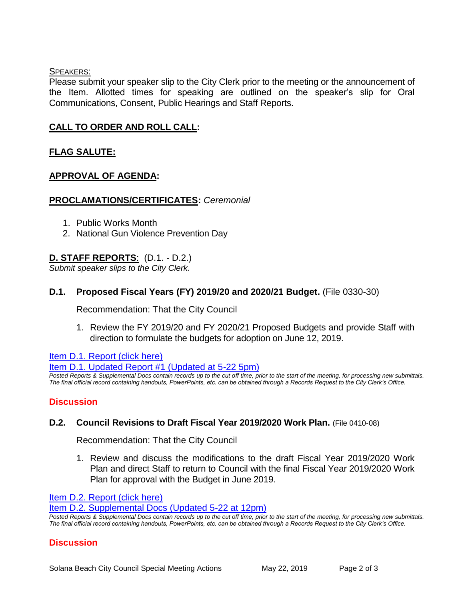#### SPEAKERS:

Please submit your speaker slip to the City Clerk prior to the meeting or the announcement of the Item. Allotted times for speaking are outlined on the speaker's slip for Oral Communications, Consent, Public Hearings and Staff Reports.

## **CALL TO ORDER AND ROLL CALL:**

## **FLAG SALUTE:**

### **APPROVAL OF AGENDA:**

#### **PROCLAMATIONS/CERTIFICATES:** *Ceremonial*

- 1. Public Works Month
- 2. National Gun Violence Prevention Day

## **D. STAFF REPORTS**: (D.1. - D.2.)

*Submit speaker slips to the City Clerk.*

### **D.1. Proposed Fiscal Years (FY) 2019/20 and 2020/21 Budget.** (File 0330-30)

Recommendation: That the City Council

1. Review the FY 2019/20 and FY 2020/21 Proposed Budgets and provide Staff with direction to formulate the budgets for adoption on June 12, 2019.

[Item D.1. Report \(click here\)](https://solanabeach.govoffice3.com/vertical/Sites/%7B840804C2-F869-4904-9AE3-720581350CE7%7D/uploads/Item_D.1._Report_(click_here)_05-22-19.pdf) 

[Item D.1. Updated Report #1 \(Updated at 5-22 5pm\)](https://solanabeach.govoffice3.com/vertical/Sites/%7B840804C2-F869-4904-9AE3-720581350CE7%7D/uploads/Item_D.1._Updated_Report_1_-_5-22-19_(420pm).pdf)

*Posted Reports & Supplemental Docs contain records up to the cut off time, prior to the start of the meeting, for processing new submittals. The final official record containing handouts, PowerPoints, etc. can be obtained through a Records Request to the City Clerk's Office.*

### **Discussion**

### **D.2. Council Revisions to Draft Fiscal Year 2019/2020 Work Plan.** (File 0410-08)

Recommendation: That the City Council

1. Review and discuss the modifications to the draft Fiscal Year 2019/2020 Work Plan and direct Staff to return to Council with the final Fiscal Year 2019/2020 Work Plan for approval with the Budget in June 2019.

[Item D.2. Report \(click here\)](https://solanabeach.govoffice3.com/vertical/Sites/%7B840804C2-F869-4904-9AE3-720581350CE7%7D/uploads/Item_D.2._Report_(click_here)_05-22-19_-_O.pdf) 

[Item D.2. Supplemental Docs \(Updated 5-22 at 12pm\)](https://solanabeach.govoffice3.com/vertical/Sites/%7B840804C2-F869-4904-9AE3-720581350CE7%7D/uploads/Item_D.2._Supplemental_Docs_(updated_5-22_at_12pm)_-_O.pdf)

*Posted Reports & Supplemental Docs contain records up to the cut off time, prior to the start of the meeting, for processing new submittals. The final official record containing handouts, PowerPoints, etc. can be obtained through a Records Request to the City Clerk's Office.*

### **Discussion**